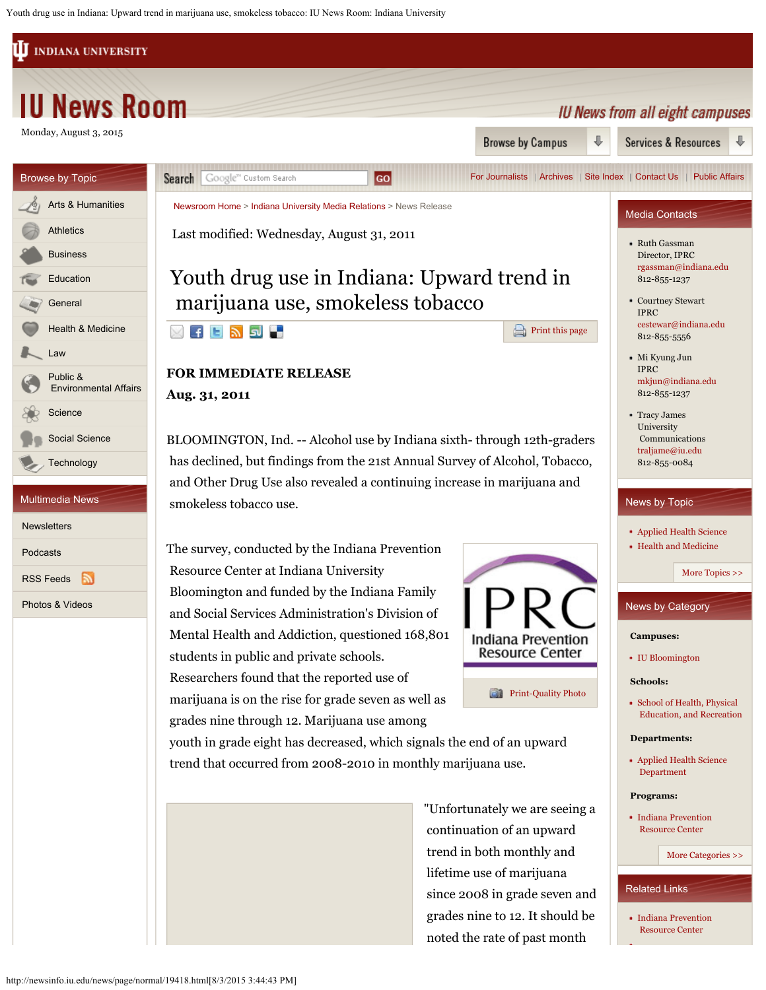Youth drug use in Indiana: Upward trend in marijuana use, smokeless tobacco: IU News Room: Indiana University

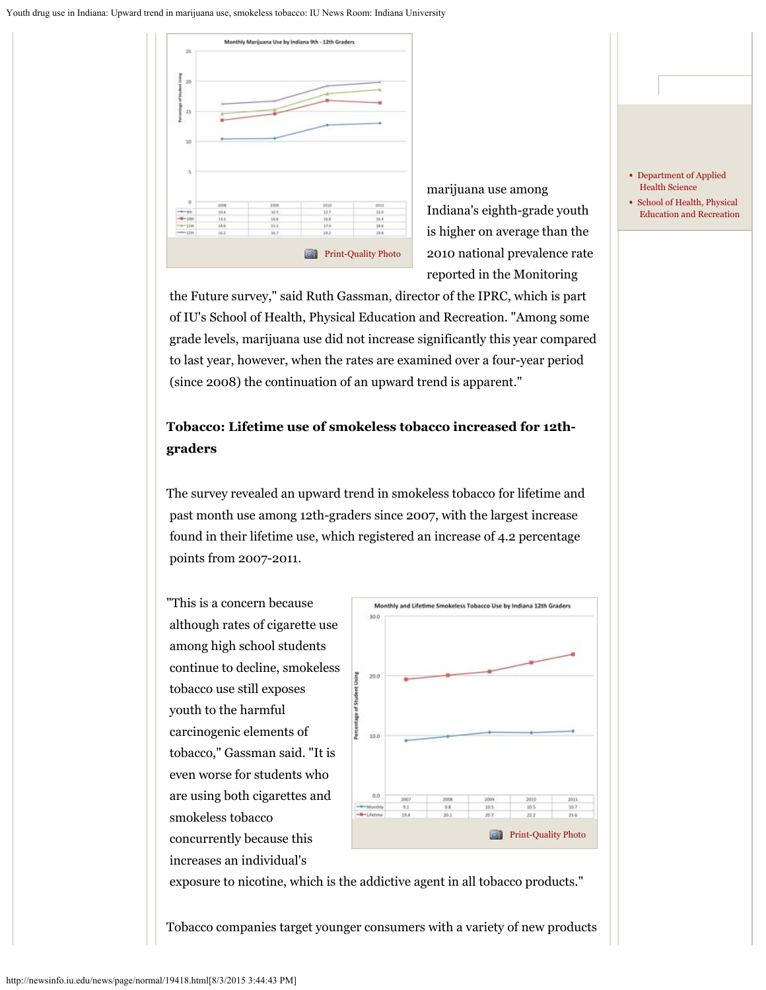

 marijuana use among Indiana's eighth-grade youth is higher on average than the 2010 national prevalence rate reported in the Monitoring

 the Future survey," said Ruth Gassman, director of the IPRC, which is part of IU's School of Health, Physical Education and Recreation. "Among some grade levels, marijuana use did not increase significantly this year compared to last year, however, when the rates are examined over a four-year period (since 2008) the continuation of an upward trend is apparent."

## **Tobacco: Lifetime use of smokeless tobacco increased for 12thgraders**

The survey revealed an upward trend in smokeless tobacco for lifetime and past month use among 12th-graders since 2007, with the largest increase found in their lifetime use, which registered an increase of 4.2 percentage points from 2007-2011.

"This is a concern because although rates of cigarette use among high school students continue to decline, smokeless tobacco use still exposes youth to the harmful carcinogenic elements of tobacco," Gassman said. "It is even worse for students who are using both cigarettes and smokeless tobacco concurrently because this increases an individual's



exposure to nicotine, which is the addictive agent in all tobacco products."

Tobacco companies target younger consumers with a variety of new products

- [Department of Applied](http://www.indiana.edu/%7Eaphealth/)  [Health Science](http://www.indiana.edu/%7Eaphealth/)
- [School of Health, Physical](http://www.hper.indiana.edu/)  [Education and Recreation](http://www.hper.indiana.edu/)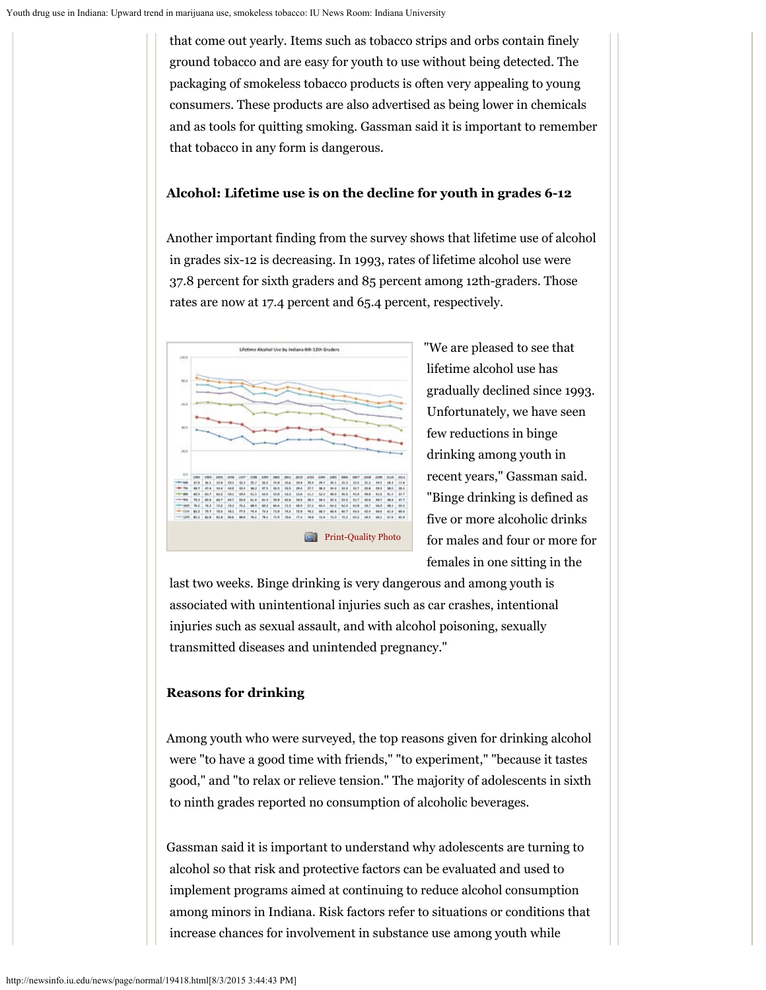that come out yearly. Items such as tobacco strips and orbs contain finely ground tobacco and are easy for youth to use without being detected. The packaging of smokeless tobacco products is often very appealing to young consumers. These products are also advertised as being lower in chemicals and as tools for quitting smoking. Gassman said it is important to remember that tobacco in any form is dangerous.

## **Alcohol: Lifetime use is on the decline for youth in grades 6-12**

Another important finding from the survey shows that lifetime use of alcohol in grades six-12 is decreasing. In 1993, rates of lifetime alcohol use were 37.8 percent for sixth graders and 85 percent among 12th-graders. Those rates are now at 17.4 percent and 65.4 percent, respectively.



"We are pleased to see that lifetime alcohol use has gradually declined since 1993. Unfortunately, we have seen few reductions in binge drinking among youth in recent years," Gassman said. "Binge drinking is defined as five or more alcoholic drinks for males and four or more for females in one sitting in the

 last two weeks. Binge drinking is very dangerous and among youth is associated with unintentional injuries such as car crashes, intentional injuries such as sexual assault, and with alcohol poisoning, sexually transmitted diseases and unintended pregnancy."

## **Reasons for drinking**

Among youth who were surveyed, the top reasons given for drinking alcohol were "to have a good time with friends," "to experiment," "because it tastes good," and "to relax or relieve tension." The majority of adolescents in sixth to ninth grades reported no consumption of alcoholic beverages.

Gassman said it is important to understand why adolescents are turning to alcohol so that risk and protective factors can be evaluated and used to implement programs aimed at continuing to reduce alcohol consumption among minors in Indiana. Risk factors refer to situations or conditions that increase chances for involvement in substance use among youth while